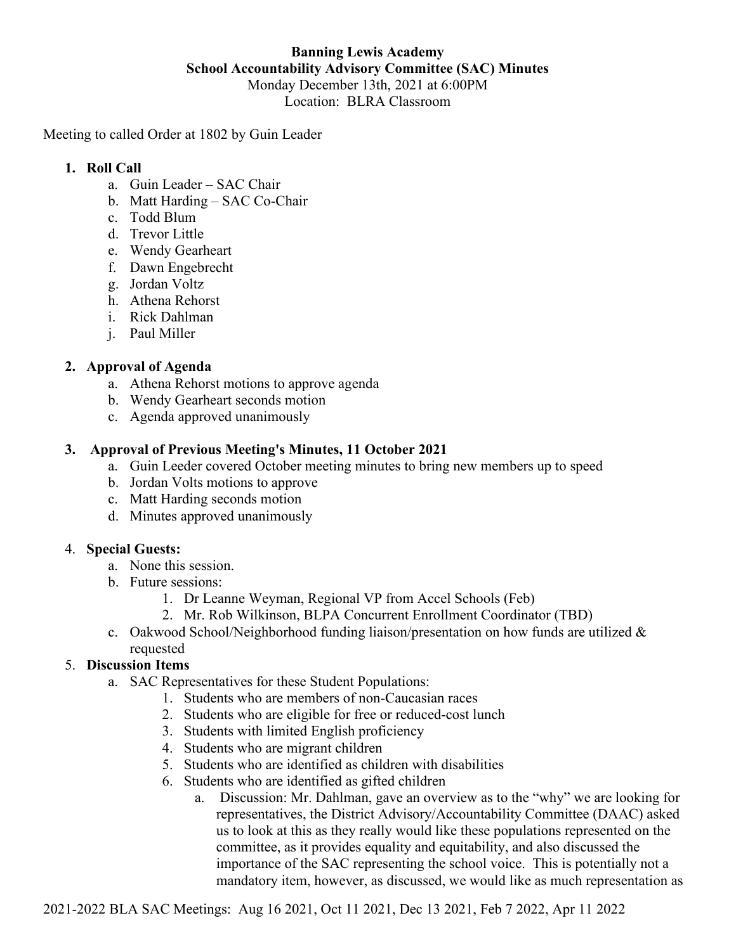# **Banning Lewis Academy School Accountability Advisory Committee (SAC) Minutes** Monday December 13th, 2021 at 6:00PM Location: BLRA Classroom

Meeting to called Order at 1802 by Guin Leader

### **1. Roll Call**

- a. Guin Leader SAC Chair
- b. Matt Harding SAC Co-Chair
- c. Todd Blum
- d. Trevor Little
- e. Wendy Gearheart
- f. Dawn Engebrecht
- g. Jordan Voltz
- h. Athena Rehorst
- i. Rick Dahlman
- j. Paul Miller

# **2. Approval of Agenda**

- a. Athena Rehorst motions to approve agenda
- b. Wendy Gearheart seconds motion
- c. Agenda approved unanimously

# **3. Approval of Previous Meeting's Minutes, 11 October 2021**

- a. Guin Leeder covered October meeting minutes to bring new members up to speed
- b. Jordan Volts motions to approve
- c. Matt Harding seconds motion
- d. Minutes approved unanimously

#### 4. **Special Guests:**

- a. None this session.
- b. Future sessions:
	- 1. Dr Leanne Weyman, Regional VP from Accel Schools (Feb)
	- 2. Mr. Rob Wilkinson, BLPA Concurrent Enrollment Coordinator (TBD)
- c. Oakwood School/Neighborhood funding liaison/presentation on how funds are utilized  $\&$ requested

# 5. **Discussion Items**

- a. SAC Representatives for these Student Populations:
	- 1. Students who are members of non-Caucasian races
	- 2. Students who are eligible for free or reduced-cost lunch
	- 3. Students with limited English proficiency
	- 4. Students who are migrant children
	- 5. Students who are identified as children with disabilities
	- 6. Students who are identified as gifted children
		- a. Discussion: Mr. Dahlman, gave an overview as to the "why" we are looking for representatives, the District Advisory/Accountability Committee (DAAC) asked us to look at this as they really would like these populations represented on the committee, as it provides equality and equitability, and also discussed the importance of the SAC representing the school voice. This is potentially not a mandatory item, however, as discussed, we would like as much representation as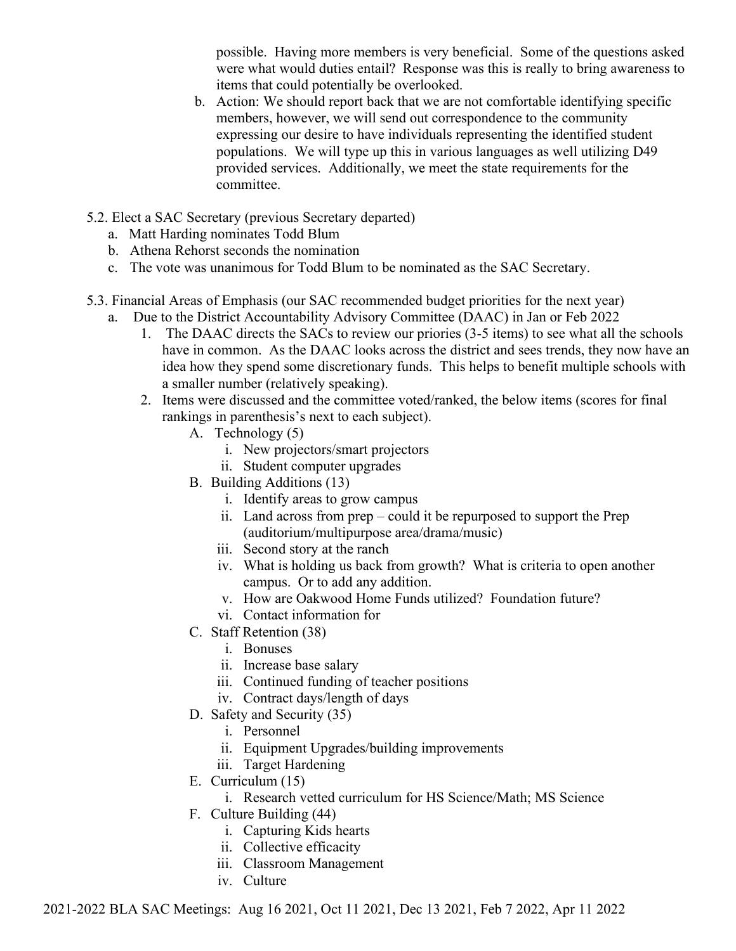possible. Having more members is very beneficial. Some of the questions asked were what would duties entail? Response was this is really to bring awareness to items that could potentially be overlooked.

- b. Action: We should report back that we are not comfortable identifying specific members, however, we will send out correspondence to the community expressing our desire to have individuals representing the identified student populations. We will type up this in various languages as well utilizing D49 provided services. Additionally, we meet the state requirements for the committee.
- 5.2. Elect a SAC Secretary (previous Secretary departed)
	- a. Matt Harding nominates Todd Blum
	- b. Athena Rehorst seconds the nomination
	- c. The vote was unanimous for Todd Blum to be nominated as the SAC Secretary.
- 5.3. Financial Areas of Emphasis (our SAC recommended budget priorities for the next year)
	- a. Due to the District Accountability Advisory Committee (DAAC) in Jan or Feb 2022
		- 1. The DAAC directs the SACs to review our priories (3-5 items) to see what all the schools have in common. As the DAAC looks across the district and sees trends, they now have an idea how they spend some discretionary funds. This helps to benefit multiple schools with a smaller number (relatively speaking).
		- 2. Items were discussed and the committee voted/ranked, the below items (scores for final rankings in parenthesis's next to each subject).
			- A. Technology (5)
				- i. New projectors/smart projectors
				- ii. Student computer upgrades
			- B. Building Additions (13)
				- i. Identify areas to grow campus
				- ii. Land across from prep could it be repurposed to support the Prep (auditorium/multipurpose area/drama/music)
				- iii. Second story at the ranch
				- iv. What is holding us back from growth? What is criteria to open another campus. Or to add any addition.
				- v. How are Oakwood Home Funds utilized? Foundation future?
				- vi. Contact information for
			- C. Staff Retention (38)
				- i. Bonuses
				- ii. Increase base salary
				- iii. Continued funding of teacher positions
				- iv. Contract days/length of days
			- D. Safety and Security (35)
				- i. Personnel
				- ii. Equipment Upgrades/building improvements
				- iii. Target Hardening
			- E. Curriculum (15)
				- i. Research vetted curriculum for HS Science/Math; MS Science
			- F. Culture Building (44)
				- i. Capturing Kids hearts
				- ii. Collective efficacity
				- iii. Classroom Management
				- iv. Culture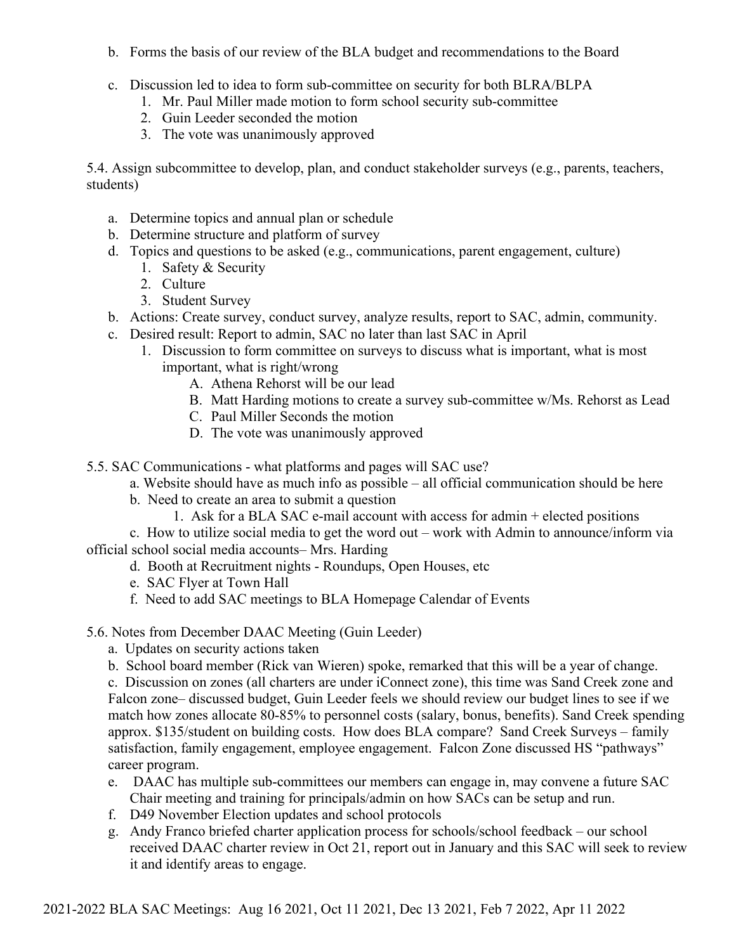- b. Forms the basis of our review of the BLA budget and recommendations to the Board
- c. Discussion led to idea to form sub-committee on security for both BLRA/BLPA
	- 1. Mr. Paul Miller made motion to form school security sub-committee
	- 2. Guin Leeder seconded the motion
	- 3. The vote was unanimously approved

5.4. Assign subcommittee to develop, plan, and conduct stakeholder surveys (e.g., parents, teachers, students)

- a. Determine topics and annual plan or schedule
- b. Determine structure and platform of survey
- d. Topics and questions to be asked (e.g., communications, parent engagement, culture)
	- 1. Safety & Security
	- 2. Culture
	- 3. Student Survey
- b. Actions: Create survey, conduct survey, analyze results, report to SAC, admin, community.
- c. Desired result: Report to admin, SAC no later than last SAC in April
	- 1. Discussion to form committee on surveys to discuss what is important, what is most important, what is right/wrong
		- A. Athena Rehorst will be our lead
		- B. Matt Harding motions to create a survey sub-committee w/Ms. Rehorst as Lead
		- C. Paul Miller Seconds the motion
		- D. The vote was unanimously approved

5.5. SAC Communications - what platforms and pages will SAC use?

- a. Website should have as much info as possible all official communication should be here
- b. Need to create an area to submit a question
	- 1. Ask for a BLA SAC e-mail account with access for admin + elected positions

c. How to utilize social media to get the word out – work with Admin to announce/inform via official school social media accounts– Mrs. Harding

- d. Booth at Recruitment nights Roundups, Open Houses, etc
- e. SAC Flyer at Town Hall
- f. Need to add SAC meetings to BLA Homepage Calendar of Events
- 5.6. Notes from December DAAC Meeting (Guin Leeder)
	- a. Updates on security actions taken
	- b. School board member (Rick van Wieren) spoke, remarked that this will be a year of change.

c. Discussion on zones (all charters are under iConnect zone), this time was Sand Creek zone and Falcon zone– discussed budget, Guin Leeder feels we should review our budget lines to see if we match how zones allocate 80-85% to personnel costs (salary, bonus, benefits). Sand Creek spending approx. \$135/student on building costs. How does BLA compare? Sand Creek Surveys – family satisfaction, family engagement, employee engagement. Falcon Zone discussed HS "pathways" career program.

- e. DAAC has multiple sub-committees our members can engage in, may convene a future SAC Chair meeting and training for principals/admin on how SACs can be setup and run.
- f. D49 November Election updates and school protocols
- g. Andy Franco briefed charter application process for schools/school feedback our school received DAAC charter review in Oct 21, report out in January and this SAC will seek to review it and identify areas to engage.